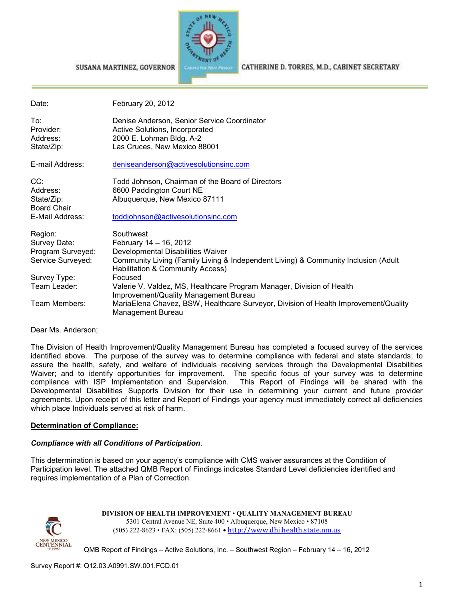

CATHERINE D. TORRES, M.D., CABINET SECRETARY

| Date:                                                             | February 20, 2012                                                                                                                                                                                  |
|-------------------------------------------------------------------|----------------------------------------------------------------------------------------------------------------------------------------------------------------------------------------------------|
| To:<br>Provider:<br>Address:<br>State/Zip:                        | Denise Anderson, Senior Service Coordinator<br>Active Solutions, Incorporated<br>2000 E. Lohman Bldg. A-2<br>Las Cruces, New Mexico 88001                                                          |
| E-mail Address:                                                   | deniseanderson@activesolutionsinc.com                                                                                                                                                              |
| CC:<br>Address:<br>State/Zip:<br>Board Chair                      | Todd Johnson, Chairman of the Board of Directors<br>6600 Paddington Court NE<br>Albuquerque, New Mexico 87111                                                                                      |
| E-Mail Address:                                                   | toddjohnson@activesolutionsinc.com                                                                                                                                                                 |
| Region:<br>Survey Date:<br>Program Surveyed:<br>Service Surveyed: | Southwest<br>February 14 - 16, 2012<br>Developmental Disabilities Waiver<br>Community Living (Family Living & Independent Living) & Community Inclusion (Adult<br>Habilitation & Community Access) |
| Survey Type:                                                      | Focused                                                                                                                                                                                            |
| Team Leader:                                                      | Valerie V. Valdez, MS, Healthcare Program Manager, Division of Health<br>Improvement/Quality Management Bureau                                                                                     |
| Team Members:                                                     | MariaElena Chavez, BSW, Healthcare Surveyor, Division of Health Improvement/Quality<br>Management Bureau                                                                                           |

Dear Ms. Anderson;

The Division of Health Improvement/Quality Management Bureau has completed a focused survey of the services identified above. The purpose of the survey was to determine compliance with federal and state standards; to assure the health, safety, and welfare of individuals receiving services through the Developmental Disabilities Waiver; and to identify opportunities for improvement. The specific focus of your survey was to determine compliance with ISP Implementation and Supervision. This Report of Findings will be shared with the Developmental Disabilities Supports Division for their use in determining your current and future provider agreements. Upon receipt of this letter and Report of Findings your agency must immediately correct all deficiencies which place Individuals served at risk of harm.

#### **Determination of Compliance:**

#### *Compliance with all Conditions of Participation*.

SUSANA MARTINEZ, GOVERNOR

This determination is based on your agency's compliance with CMS waiver assurances at the Condition of Participation level. The attached QMB Report of Findings indicates Standard Level deficiencies identified and requires implementation of a Plan of Correction.



**DIVISION OF HEALTH IMPROVEMENT** • **QUALITY MANAGEMENT BUREAU** 5301 Central Avenue NE, Suite 400 • Albuquerque, New Mexico • 87108 (505) 222-8623 • FAX: (505) 222-8661 • http://www.dhi.health.state.nm.us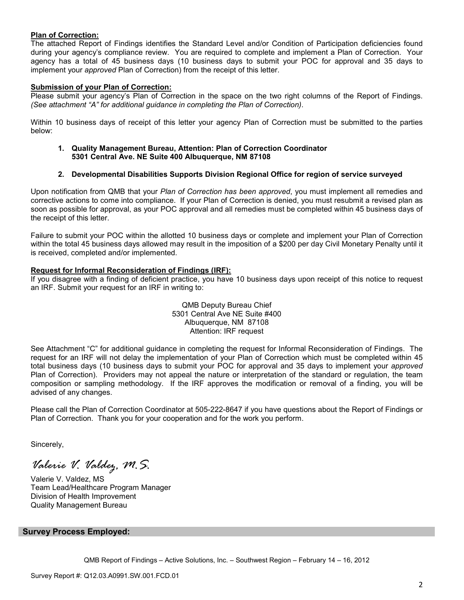#### **Plan of Correction:**

The attached Report of Findings identifies the Standard Level and/or Condition of Participation deficiencies found during your agency's compliance review. You are required to complete and implement a Plan of Correction. Your agency has a total of 45 business days (10 business days to submit your POC for approval and 35 days to implement your *approved* Plan of Correction) from the receipt of this letter.

#### **Submission of your Plan of Correction:**

Please submit your agency's Plan of Correction in the space on the two right columns of the Report of Findings. *(See attachment "A" for additional guidance in completing the Plan of Correction)*.

Within 10 business days of receipt of this letter your agency Plan of Correction must be submitted to the parties below:

**1. Quality Management Bureau, Attention: Plan of Correction Coordinator 5301 Central Ave. NE Suite 400 Albuquerque, NM 87108** 

#### **2. Developmental Disabilities Supports Division Regional Office for region of service surveyed**

Upon notification from QMB that your *Plan of Correction has been approved*, you must implement all remedies and corrective actions to come into compliance. If your Plan of Correction is denied, you must resubmit a revised plan as soon as possible for approval, as your POC approval and all remedies must be completed within 45 business days of the receipt of this letter.

Failure to submit your POC within the allotted 10 business days or complete and implement your Plan of Correction within the total 45 business days allowed may result in the imposition of a \$200 per day Civil Monetary Penalty until it is received, completed and/or implemented.

#### **Request for Informal Reconsideration of Findings (IRF):**

If you disagree with a finding of deficient practice, you have 10 business days upon receipt of this notice to request an IRF. Submit your request for an IRF in writing to:

> QMB Deputy Bureau Chief 5301 Central Ave NE Suite #400 Albuquerque, NM 87108 Attention: IRF request

See Attachment "C" for additional guidance in completing the request for Informal Reconsideration of Findings. The request for an IRF will not delay the implementation of your Plan of Correction which must be completed within 45 total business days (10 business days to submit your POC for approval and 35 days to implement your *approved* Plan of Correction). Providers may not appeal the nature or interpretation of the standard or regulation, the team composition or sampling methodology. If the IRF approves the modification or removal of a finding, you will be advised of any changes.

Please call the Plan of Correction Coordinator at 505-222-8647 if you have questions about the Report of Findings or Plan of Correction. Thank you for your cooperation and for the work you perform.

Sincerely,

*Valerie V. Valdez, M.S.* 

Valerie V. Valdez, MS Team Lead/Healthcare Program Manager Division of Health Improvement Quality Management Bureau

#### **Survey Process Employed:**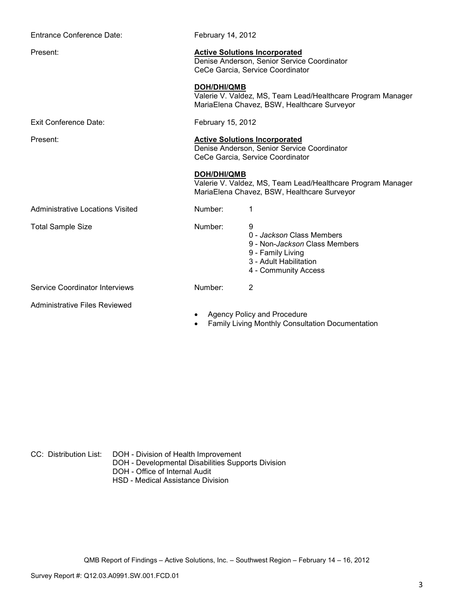| Entrance Conference Date:            | February 14, 2012  |                                                                                                                                                |
|--------------------------------------|--------------------|------------------------------------------------------------------------------------------------------------------------------------------------|
| Present:                             |                    | <b>Active Solutions Incorporated</b><br>Denise Anderson, Senior Service Coordinator<br>CeCe Garcia, Service Coordinator                        |
|                                      | <b>DOH/DHI/QMB</b> | Valerie V. Valdez, MS, Team Lead/Healthcare Program Manager<br>MariaElena Chavez, BSW, Healthcare Surveyor                                     |
| <b>Exit Conference Date:</b>         | February 15, 2012  |                                                                                                                                                |
| Present:                             |                    | <b>Active Solutions Incorporated</b><br>Denise Anderson, Senior Service Coordinator<br>CeCe Garcia, Service Coordinator                        |
|                                      | <b>DOH/DHI/QMB</b> | Valerie V. Valdez, MS, Team Lead/Healthcare Program Manager<br>MariaElena Chavez, BSW, Healthcare Surveyor                                     |
| Administrative Locations Visited     | Number:            | 1                                                                                                                                              |
| <b>Total Sample Size</b>             | Number:            | 9<br>0 - Jackson Class Members<br>9 - Non- <i>Jackson</i> Class Members<br>9 - Family Living<br>3 - Adult Habilitation<br>4 - Community Access |
| Service Coordinator Interviews       | Number:            | $\overline{2}$                                                                                                                                 |
| <b>Administrative Files Reviewed</b> |                    | Agency Policy and Procedure<br><b>Family Living Monthly Consultation Documentation</b>                                                         |

CC: Distribution List: DOH - Division of Health Improvement

- DOH Developmental Disabilities Supports Division
	- DOH Office of Internal Audit
	- HSD Medical Assistance Division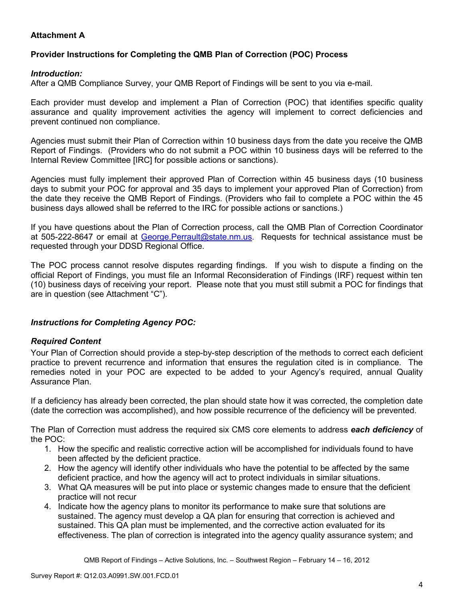# **Attachment A**

## **Provider Instructions for Completing the QMB Plan of Correction (POC) Process**

#### *Introduction:*

After a QMB Compliance Survey, your QMB Report of Findings will be sent to you via e-mail.

Each provider must develop and implement a Plan of Correction (POC) that identifies specific quality assurance and quality improvement activities the agency will implement to correct deficiencies and prevent continued non compliance.

Agencies must submit their Plan of Correction within 10 business days from the date you receive the QMB Report of Findings. (Providers who do not submit a POC within 10 business days will be referred to the Internal Review Committee [IRC] for possible actions or sanctions).

Agencies must fully implement their approved Plan of Correction within 45 business days (10 business days to submit your POC for approval and 35 days to implement your approved Plan of Correction) from the date they receive the QMB Report of Findings. (Providers who fail to complete a POC within the 45 business days allowed shall be referred to the IRC for possible actions or sanctions.)

If you have questions about the Plan of Correction process, call the QMB Plan of Correction Coordinator at 505-222-8647 or email at George. Perrault@state.nm.us. Requests for technical assistance must be requested through your DDSD Regional Office.

The POC process cannot resolve disputes regarding findings. If you wish to dispute a finding on the official Report of Findings, you must file an Informal Reconsideration of Findings (IRF) request within ten (10) business days of receiving your report. Please note that you must still submit a POC for findings that are in question (see Attachment "C").

## *Instructions for Completing Agency POC:*

## *Required Content*

Your Plan of Correction should provide a step-by-step description of the methods to correct each deficient practice to prevent recurrence and information that ensures the regulation cited is in compliance. The remedies noted in your POC are expected to be added to your Agency's required, annual Quality Assurance Plan.

If a deficiency has already been corrected, the plan should state how it was corrected, the completion date (date the correction was accomplished), and how possible recurrence of the deficiency will be prevented.

The Plan of Correction must address the required six CMS core elements to address *each deficiency* of the POC:

- 1. How the specific and realistic corrective action will be accomplished for individuals found to have been affected by the deficient practice.
- 2. How the agency will identify other individuals who have the potential to be affected by the same deficient practice, and how the agency will act to protect individuals in similar situations.
- 3. What QA measures will be put into place or systemic changes made to ensure that the deficient practice will not recur
- 4. Indicate how the agency plans to monitor its performance to make sure that solutions are sustained. The agency must develop a QA plan for ensuring that correction is achieved and sustained. This QA plan must be implemented, and the corrective action evaluated for its effectiveness. The plan of correction is integrated into the agency quality assurance system; and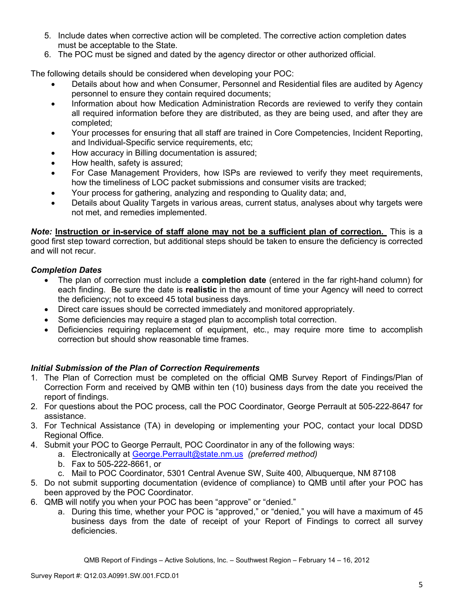- 5. Include dates when corrective action will be completed. The corrective action completion dates must be acceptable to the State.
- 6. The POC must be signed and dated by the agency director or other authorized official.

The following details should be considered when developing your POC:

- Details about how and when Consumer, Personnel and Residential files are audited by Agency personnel to ensure they contain required documents;
- Information about how Medication Administration Records are reviewed to verify they contain all required information before they are distributed, as they are being used, and after they are completed;
- Your processes for ensuring that all staff are trained in Core Competencies, Incident Reporting, and Individual-Specific service requirements, etc;
- How accuracy in Billing documentation is assured;
- How health, safety is assured;
- For Case Management Providers, how ISPs are reviewed to verify they meet requirements, how the timeliness of LOC packet submissions and consumer visits are tracked;
- Your process for gathering, analyzing and responding to Quality data; and,
- Details about Quality Targets in various areas, current status, analyses about why targets were not met, and remedies implemented.

*Note:* **Instruction or in-service of staff alone may not be a sufficient plan of correction.** This is a good first step toward correction, but additional steps should be taken to ensure the deficiency is corrected and will not recur.

## *Completion Dates*

- The plan of correction must include a **completion date** (entered in the far right-hand column) for each finding. Be sure the date is **realistic** in the amount of time your Agency will need to correct the deficiency; not to exceed 45 total business days.
- Direct care issues should be corrected immediately and monitored appropriately.
- Some deficiencies may require a staged plan to accomplish total correction.
- Deficiencies requiring replacement of equipment, etc., may require more time to accomplish correction but should show reasonable time frames.

## *Initial Submission of the Plan of Correction Requirements*

- 1. The Plan of Correction must be completed on the official QMB Survey Report of Findings/Plan of Correction Form and received by QMB within ten (10) business days from the date you received the report of findings.
- 2. For questions about the POC process, call the POC Coordinator, George Perrault at 505-222-8647 for assistance.
- 3. For Technical Assistance (TA) in developing or implementing your POC, contact your local DDSD Regional Office.
- 4. Submit your POC to George Perrault, POC Coordinator in any of the following ways:
	- a. Electronically at George.Perrault@state.nm.us *(preferred method)*
	- b. Fax to 505-222-8661, or
	- c. Mail to POC Coordinator, 5301 Central Avenue SW, Suite 400, Albuquerque, NM 87108
- 5. Do not submit supporting documentation (evidence of compliance) to QMB until after your POC has been approved by the POC Coordinator.
- 6. QMB will notify you when your POC has been "approve" or "denied."
	- a. During this time, whether your POC is "approved," or "denied," you will have a maximum of 45 business days from the date of receipt of your Report of Findings to correct all survey deficiencies.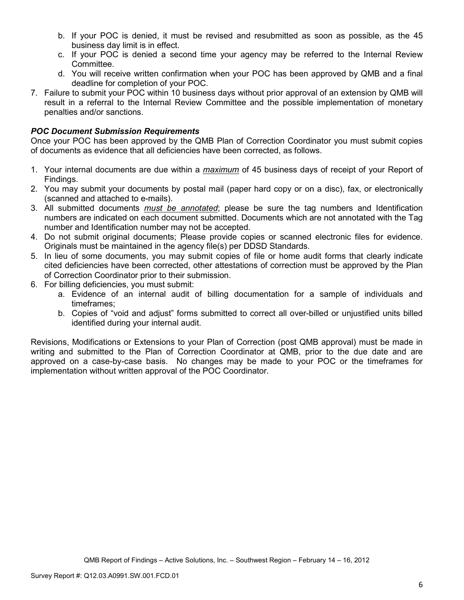- b. If your POC is denied, it must be revised and resubmitted as soon as possible, as the 45 business day limit is in effect.
- c. If your POC is denied a second time your agency may be referred to the Internal Review Committee.
- d. You will receive written confirmation when your POC has been approved by QMB and a final deadline for completion of your POC.
- 7. Failure to submit your POC within 10 business days without prior approval of an extension by QMB will result in a referral to the Internal Review Committee and the possible implementation of monetary penalties and/or sanctions.

## *POC Document Submission Requirements*

Once your POC has been approved by the QMB Plan of Correction Coordinator you must submit copies of documents as evidence that all deficiencies have been corrected, as follows.

- 1. Your internal documents are due within a *maximum* of 45 business days of receipt of your Report of Findings.
- 2. You may submit your documents by postal mail (paper hard copy or on a disc), fax, or electronically (scanned and attached to e-mails).
- 3. All submitted documents *must be annotated*; please be sure the tag numbers and Identification numbers are indicated on each document submitted. Documents which are not annotated with the Tag number and Identification number may not be accepted.
- 4. Do not submit original documents; Please provide copies or scanned electronic files for evidence. Originals must be maintained in the agency file(s) per DDSD Standards.
- 5. In lieu of some documents, you may submit copies of file or home audit forms that clearly indicate cited deficiencies have been corrected, other attestations of correction must be approved by the Plan of Correction Coordinator prior to their submission.
- 6. For billing deficiencies, you must submit:
	- a. Evidence of an internal audit of billing documentation for a sample of individuals and timeframes;
	- b. Copies of "void and adjust" forms submitted to correct all over-billed or unjustified units billed identified during your internal audit.

Revisions, Modifications or Extensions to your Plan of Correction (post QMB approval) must be made in writing and submitted to the Plan of Correction Coordinator at QMB, prior to the due date and are approved on a case-by-case basis. No changes may be made to your POC or the timeframes for implementation without written approval of the POC Coordinator.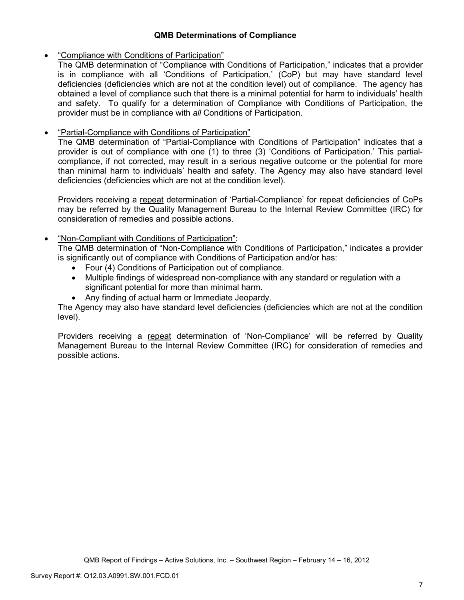## **QMB Determinations of Compliance**

## • "Compliance with Conditions of Participation"

The QMB determination of "Compliance with Conditions of Participation," indicates that a provider is in compliance with all 'Conditions of Participation,' (CoP) but may have standard level deficiencies (deficiencies which are not at the condition level) out of compliance. The agency has obtained a level of compliance such that there is a minimal potential for harm to individuals' health and safety. To qualify for a determination of Compliance with Conditions of Participation, the provider must be in compliance with *all* Conditions of Participation.

# • "Partial-Compliance with Conditions of Participation"

The QMB determination of "Partial-Compliance with Conditions of Participation" indicates that a provider is out of compliance with one (1) to three (3) 'Conditions of Participation.' This partialcompliance, if not corrected, may result in a serious negative outcome or the potential for more than minimal harm to individuals' health and safety. The Agency may also have standard level deficiencies (deficiencies which are not at the condition level).

Providers receiving a repeat determination of 'Partial-Compliance' for repeat deficiencies of CoPs may be referred by the Quality Management Bureau to the Internal Review Committee (IRC) for consideration of remedies and possible actions.

## • "Non-Compliant with Conditions of Participation":

The QMB determination of "Non-Compliance with Conditions of Participation," indicates a provider is significantly out of compliance with Conditions of Participation and/or has:

- Four (4) Conditions of Participation out of compliance.
- Multiple findings of widespread non-compliance with any standard or regulation with a significant potential for more than minimal harm.
- Any finding of actual harm or Immediate Jeopardy.

The Agency may also have standard level deficiencies (deficiencies which are not at the condition level).

Providers receiving a repeat determination of 'Non-Compliance' will be referred by Quality Management Bureau to the Internal Review Committee (IRC) for consideration of remedies and possible actions.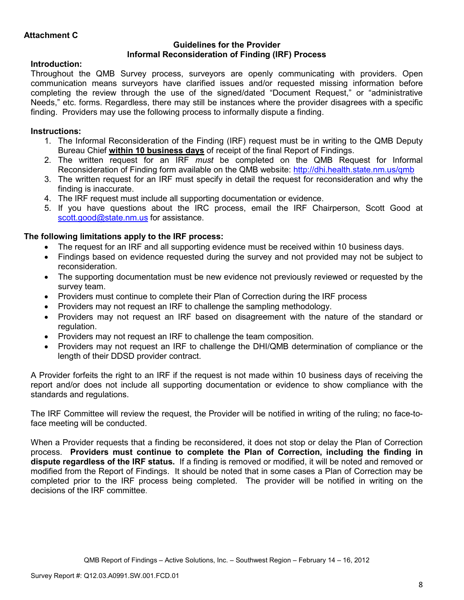#### **Guidelines for the Provider Informal Reconsideration of Finding (IRF) Process**

## **Introduction:**

Throughout the QMB Survey process, surveyors are openly communicating with providers. Open communication means surveyors have clarified issues and/or requested missing information before completing the review through the use of the signed/dated "Document Request," or "administrative Needs," etc. forms. Regardless, there may still be instances where the provider disagrees with a specific finding. Providers may use the following process to informally dispute a finding.

# **Instructions:**

- 1. The Informal Reconsideration of the Finding (IRF) request must be in writing to the QMB Deputy Bureau Chief **within 10 business days** of receipt of the final Report of Findings.
- 2. The written request for an IRF *must* be completed on the QMB Request for Informal Reconsideration of Finding form available on the QMB website: http://dhi.health.state.nm.us/qmb
- 3. The written request for an IRF must specify in detail the request for reconsideration and why the finding is inaccurate.
- 4. The IRF request must include all supporting documentation or evidence.
- 5. If you have questions about the IRC process, email the IRF Chairperson, Scott Good at scott.good@state.nm.us for assistance.

## **The following limitations apply to the IRF process:**

- The request for an IRF and all supporting evidence must be received within 10 business days.
- Findings based on evidence requested during the survey and not provided may not be subject to reconsideration.
- The supporting documentation must be new evidence not previously reviewed or requested by the survey team.
- Providers must continue to complete their Plan of Correction during the IRF process
- Providers may not request an IRF to challenge the sampling methodology.
- Providers may not request an IRF based on disagreement with the nature of the standard or regulation.
- Providers may not request an IRF to challenge the team composition.
- Providers may not request an IRF to challenge the DHI/QMB determination of compliance or the length of their DDSD provider contract.

A Provider forfeits the right to an IRF if the request is not made within 10 business days of receiving the report and/or does not include all supporting documentation or evidence to show compliance with the standards and regulations.

The IRF Committee will review the request, the Provider will be notified in writing of the ruling; no face-toface meeting will be conducted.

When a Provider requests that a finding be reconsidered, it does not stop or delay the Plan of Correction process. **Providers must continue to complete the Plan of Correction, including the finding in dispute regardless of the IRF status.** If a finding is removed or modified, it will be noted and removed or modified from the Report of Findings. It should be noted that in some cases a Plan of Correction may be completed prior to the IRF process being completed. The provider will be notified in writing on the decisions of the IRF committee.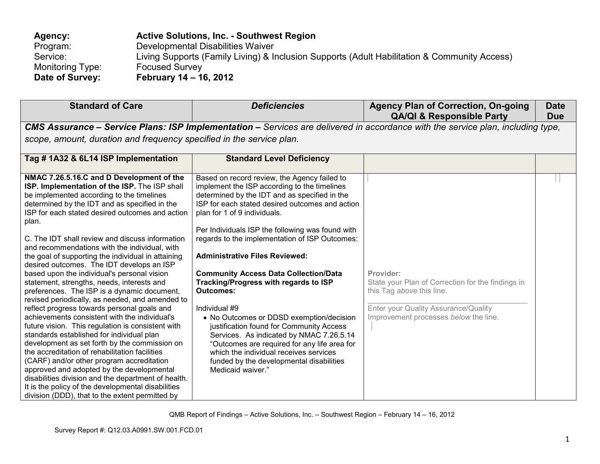| Agency:          | <b>Active Solutions, Inc. - Southwest Region</b>                                             |
|------------------|----------------------------------------------------------------------------------------------|
| Program:         | Developmental Disabilities Waiver                                                            |
| Service:         | Living Supports (Family Living) & Inclusion Supports (Adult Habilitation & Community Access) |
| Monitoring Type: | <b>Focused Survey</b>                                                                        |
| Date of Survey:  | February 14 – 16, 2012                                                                       |

| <b>Standard of Care</b>                                                                                                                                                                                                                                                                                                                                                                                                                                                                                                                                                                                                                                                                                                                                                                                                                                                                                                                                                                                                                                                                                                                                                                                                   | <b>Deficiencies</b>                                                                                                                                                                                                                                                                                                                                                                                                                                                                                                                                                                                                                                                                                                                                                                                          | <b>Agency Plan of Correction, On-going</b><br><b>QA/QI &amp; Responsible Party</b>                                                                                           | <b>Date</b><br><b>Due</b> |
|---------------------------------------------------------------------------------------------------------------------------------------------------------------------------------------------------------------------------------------------------------------------------------------------------------------------------------------------------------------------------------------------------------------------------------------------------------------------------------------------------------------------------------------------------------------------------------------------------------------------------------------------------------------------------------------------------------------------------------------------------------------------------------------------------------------------------------------------------------------------------------------------------------------------------------------------------------------------------------------------------------------------------------------------------------------------------------------------------------------------------------------------------------------------------------------------------------------------------|--------------------------------------------------------------------------------------------------------------------------------------------------------------------------------------------------------------------------------------------------------------------------------------------------------------------------------------------------------------------------------------------------------------------------------------------------------------------------------------------------------------------------------------------------------------------------------------------------------------------------------------------------------------------------------------------------------------------------------------------------------------------------------------------------------------|------------------------------------------------------------------------------------------------------------------------------------------------------------------------------|---------------------------|
|                                                                                                                                                                                                                                                                                                                                                                                                                                                                                                                                                                                                                                                                                                                                                                                                                                                                                                                                                                                                                                                                                                                                                                                                                           | <b>CMS Assurance – Service Plans: ISP Implementation –</b> Services are delivered in accordance with the service plan, including type,                                                                                                                                                                                                                                                                                                                                                                                                                                                                                                                                                                                                                                                                       |                                                                                                                                                                              |                           |
| scope, amount, duration and frequency specified in the service plan.                                                                                                                                                                                                                                                                                                                                                                                                                                                                                                                                                                                                                                                                                                                                                                                                                                                                                                                                                                                                                                                                                                                                                      |                                                                                                                                                                                                                                                                                                                                                                                                                                                                                                                                                                                                                                                                                                                                                                                                              |                                                                                                                                                                              |                           |
| Tag #1A32 & 6L14 ISP Implementation                                                                                                                                                                                                                                                                                                                                                                                                                                                                                                                                                                                                                                                                                                                                                                                                                                                                                                                                                                                                                                                                                                                                                                                       | <b>Standard Level Deficiency</b>                                                                                                                                                                                                                                                                                                                                                                                                                                                                                                                                                                                                                                                                                                                                                                             |                                                                                                                                                                              |                           |
| NMAC 7.26.5.16.C and D Development of the<br>ISP. Implementation of the ISP. The ISP shall<br>be implemented according to the timelines<br>determined by the IDT and as specified in the<br>ISP for each stated desired outcomes and action<br>plan.<br>C. The IDT shall review and discuss information<br>and recommendations with the individual, with<br>the goal of supporting the individual in attaining<br>desired outcomes. The IDT develops an ISP<br>based upon the individual's personal vision<br>statement, strengths, needs, interests and<br>preferences. The ISP is a dynamic document,<br>revised periodically, as needed, and amended to<br>reflect progress towards personal goals and<br>achievements consistent with the individual's<br>future vision. This regulation is consistent with<br>standards established for individual plan<br>development as set forth by the commission on<br>the accreditation of rehabilitation facilities<br>(CARF) and/or other program accreditation<br>approved and adopted by the developmental<br>disabilities division and the department of health.<br>It is the policy of the developmental disabilities<br>division (DDD), that to the extent permitted by | Based on record review, the Agency failed to<br>implement the ISP according to the timelines<br>determined by the IDT and as specified in the<br>ISP for each stated desired outcomes and action<br>plan for 1 of 9 individuals.<br>Per Individuals ISP the following was found with<br>regards to the implementation of ISP Outcomes:<br><b>Administrative Files Reviewed:</b><br><b>Community Access Data Collection/Data</b><br>Tracking/Progress with regards to ISP<br><b>Outcomes:</b><br>Individual #9<br>• No Outcomes or DDSD exemption/decision<br>justification found for Community Access<br>Services. As indicated by NMAC 7.26.5.14<br>"Outcomes are required for any life area for<br>which the individual receives services<br>funded by the developmental disabilities<br>Medicaid waiver." | Provider:<br>State your Plan of Correction for the findings in<br>this Tag above this line.<br>Enter your Quality Assurance/Quality<br>Improvement processes below the line. |                           |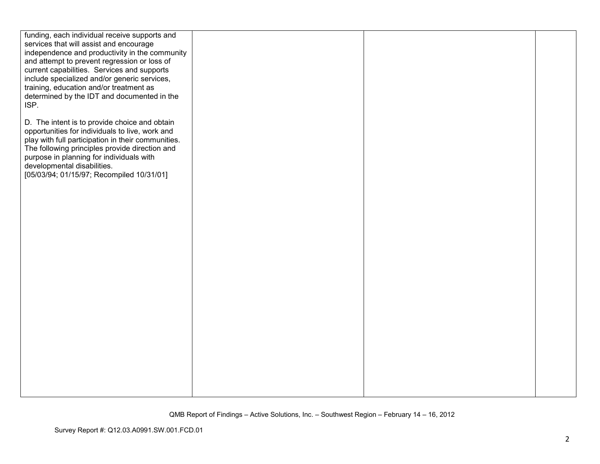| funding, each individual receive supports and      |  |  |
|----------------------------------------------------|--|--|
| services that will assist and encourage            |  |  |
| independence and productivity in the community     |  |  |
| and attempt to prevent regression or loss of       |  |  |
| current capabilities. Services and supports        |  |  |
| include specialized and/or generic services,       |  |  |
| training, education and/or treatment as            |  |  |
| determined by the IDT and documented in the        |  |  |
| ISP.                                               |  |  |
|                                                    |  |  |
| D. The intent is to provide choice and obtain      |  |  |
| opportunities for individuals to live, work and    |  |  |
| play with full participation in their communities. |  |  |
| The following principles provide direction and     |  |  |
| purpose in planning for individuals with           |  |  |
| developmental disabilities.                        |  |  |
| [05/03/94; 01/15/97; Recompiled 10/31/01]          |  |  |
|                                                    |  |  |
|                                                    |  |  |
|                                                    |  |  |
|                                                    |  |  |
|                                                    |  |  |
|                                                    |  |  |
|                                                    |  |  |
|                                                    |  |  |
|                                                    |  |  |
|                                                    |  |  |
|                                                    |  |  |
|                                                    |  |  |
|                                                    |  |  |
|                                                    |  |  |
|                                                    |  |  |
|                                                    |  |  |
|                                                    |  |  |
|                                                    |  |  |
|                                                    |  |  |
|                                                    |  |  |
|                                                    |  |  |
|                                                    |  |  |
|                                                    |  |  |
|                                                    |  |  |
|                                                    |  |  |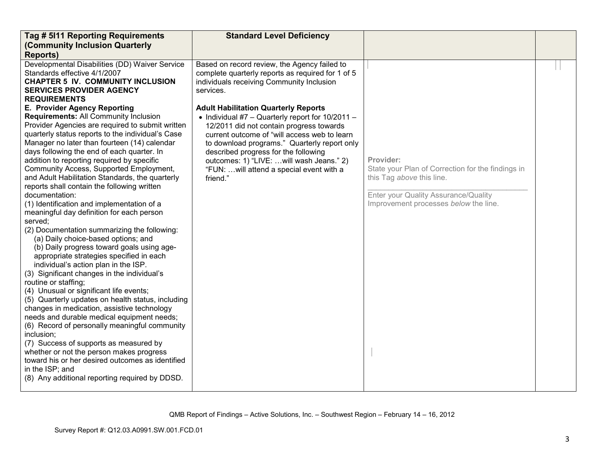| Tag # 5111 Reporting Requirements<br>(Community Inclusion Quarterly                                                                                                                                                                                                                                                                                                                                                                                                                                                                                                                                                                                                                                                                                                                                                                                                                                                                                                                                                                                                                                                                                                                                                                                                                                                                                                                                                                                                                                                                                                                   | <b>Standard Level Deficiency</b>                                                                                                                                                                                                                                                                                                                                                                                                                                                                                                                           |                                                                                                                                                                              |  |
|---------------------------------------------------------------------------------------------------------------------------------------------------------------------------------------------------------------------------------------------------------------------------------------------------------------------------------------------------------------------------------------------------------------------------------------------------------------------------------------------------------------------------------------------------------------------------------------------------------------------------------------------------------------------------------------------------------------------------------------------------------------------------------------------------------------------------------------------------------------------------------------------------------------------------------------------------------------------------------------------------------------------------------------------------------------------------------------------------------------------------------------------------------------------------------------------------------------------------------------------------------------------------------------------------------------------------------------------------------------------------------------------------------------------------------------------------------------------------------------------------------------------------------------------------------------------------------------|------------------------------------------------------------------------------------------------------------------------------------------------------------------------------------------------------------------------------------------------------------------------------------------------------------------------------------------------------------------------------------------------------------------------------------------------------------------------------------------------------------------------------------------------------------|------------------------------------------------------------------------------------------------------------------------------------------------------------------------------|--|
| <b>Reports)</b><br>Developmental Disabilities (DD) Waiver Service<br>Standards effective 4/1/2007<br><b>CHAPTER 5 IV. COMMUNITY INCLUSION</b><br><b>SERVICES PROVIDER AGENCY</b><br><b>REQUIREMENTS</b><br>E. Provider Agency Reporting<br>Requirements: All Community Inclusion<br>Provider Agencies are required to submit written<br>quarterly status reports to the individual's Case<br>Manager no later than fourteen (14) calendar<br>days following the end of each quarter. In<br>addition to reporting required by specific<br>Community Access, Supported Employment,<br>and Adult Habilitation Standards, the quarterly<br>reports shall contain the following written<br>documentation:<br>(1) Identification and implementation of a<br>meaningful day definition for each person<br>served;<br>(2) Documentation summarizing the following:<br>(a) Daily choice-based options; and<br>(b) Daily progress toward goals using age-<br>appropriate strategies specified in each<br>individual's action plan in the ISP.<br>(3) Significant changes in the individual's<br>routine or staffing;<br>(4) Unusual or significant life events;<br>(5) Quarterly updates on health status, including<br>changes in medication, assistive technology<br>needs and durable medical equipment needs;<br>(6) Record of personally meaningful community<br>inclusion;<br>(7) Success of supports as measured by<br>whether or not the person makes progress<br>toward his or her desired outcomes as identified<br>in the ISP; and<br>(8) Any additional reporting required by DDSD. | Based on record review, the Agency failed to<br>complete quarterly reports as required for 1 of 5<br>individuals receiving Community Inclusion<br>services.<br><b>Adult Habilitation Quarterly Reports</b><br>• Individual #7 - Quarterly report for $10/2011$ -<br>12/2011 did not contain progress towards<br>current outcome of "will access web to learn<br>to download programs." Quarterly report only<br>described progress for the following<br>outcomes: 1) "LIVE:  will wash Jeans." 2)<br>"FUN:  will attend a special event with a<br>friend." | Provider:<br>State your Plan of Correction for the findings in<br>this Tag above this line.<br>Enter your Quality Assurance/Quality<br>Improvement processes below the line. |  |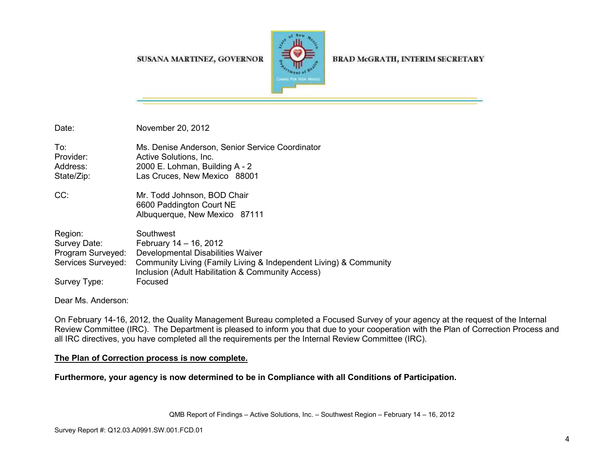#### SUSANA MARTINEZ, GOVERNOR



BRAD McGRATH, INTERIM SECRETARY

| Date:                                                              | November 20, 2012                                                                                                                                                                                  |
|--------------------------------------------------------------------|----------------------------------------------------------------------------------------------------------------------------------------------------------------------------------------------------|
| To:<br>Provider:<br>Address:<br>State/Zip:                         | Ms. Denise Anderson, Senior Service Coordinator<br>Active Solutions, Inc.<br>2000 E. Lohman, Building A - 2<br>Las Cruces, New Mexico 88001                                                        |
| CC:                                                                | Mr. Todd Johnson, BOD Chair<br>6600 Paddington Court NE<br>Albuquerque, New Mexico 87111                                                                                                           |
| Region:<br>Survey Date:<br>Program Surveyed:<br>Services Surveyed: | Southwest<br>February 14 - 16, 2012<br>Developmental Disabilities Waiver<br>Community Living (Family Living & Independent Living) & Community<br>Inclusion (Adult Habilitation & Community Access) |
| Survey Type:                                                       | Focused                                                                                                                                                                                            |

Dear Ms. Anderson:

On February 14-16, 2012, the Quality Management Bureau completed a Focused Survey of your agency at the request of the Internal Review Committee (IRC). The Department is pleased to inform you that due to your cooperation with the Plan of Correction Process and all IRC directives, you have completed all the requirements per the Internal Review Committee (IRC).

#### **The Plan of Correction process is now complete.**

**Furthermore, your agency is now determined to be in Compliance with all Conditions of Participation.**